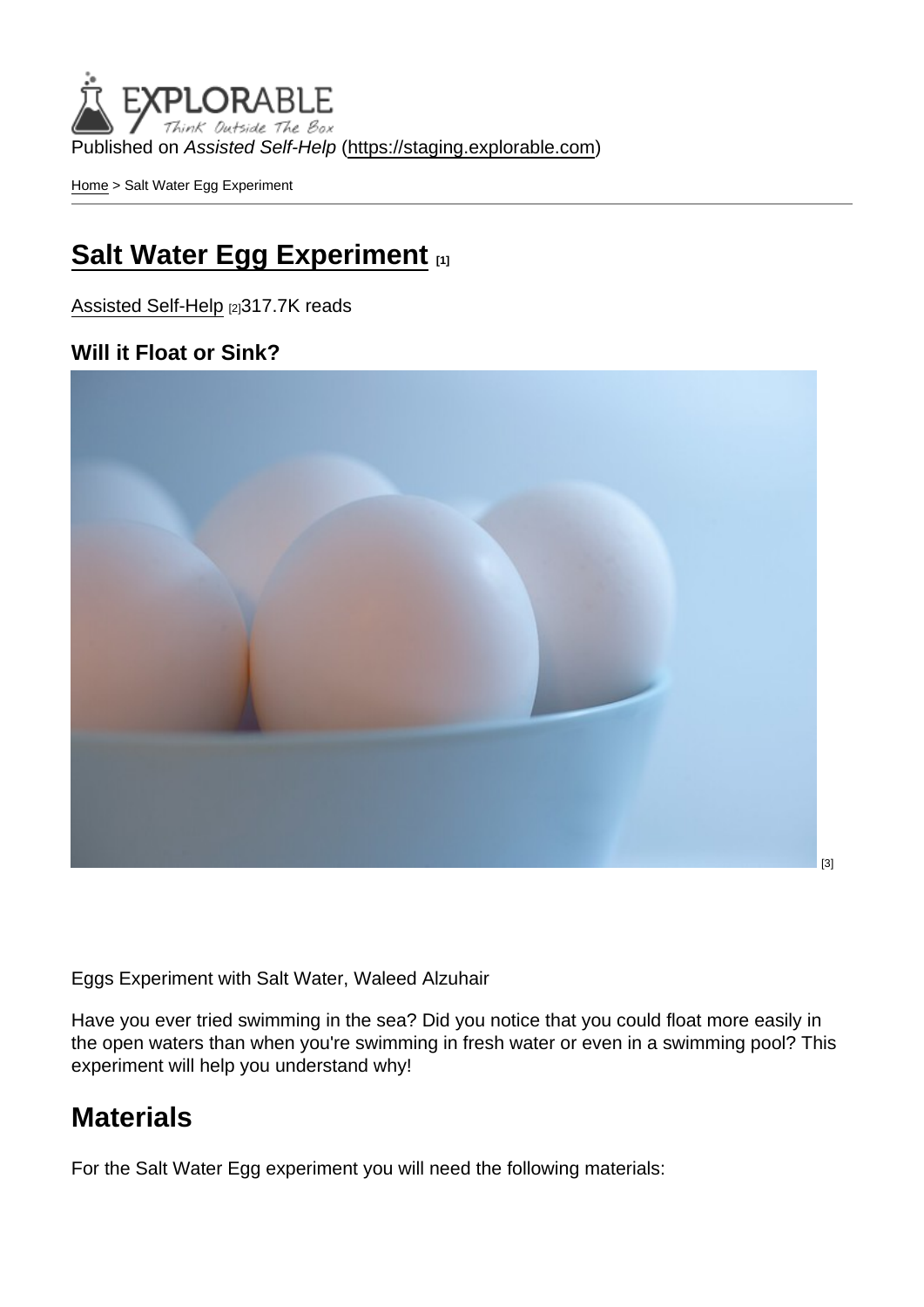Published on Assisted Self-Help [\(https://staging.explorable.com](https://staging.explorable.com))

[Home](https://staging.explorable.com/en) > Salt Water Egg Experiment

#### [Salt Water Egg Experiment](https://staging.explorable.com/en/salt-water-egg-experiment) [1]

[Assisted Self-Help](https://staging.explorable.com/en) [2]317.7K reads

Will it Float or Sink?

[The Salt Water Egg Experiment explains why materials \(such as an egg\) float more in salt](http://www.flickr.com/photos/waleedalzuhair/4819155025/)  water than in fresh water.

Eggs Experiment with Salt Water, Waleed Alzuhair

Have you ever tried swimming in the sea? Did you notice that you could float more easily in the open waters than when you're swimming in fresh water or even in a swimming pool? This experiment will help you understand why!

#### **Materials**

For the Salt Water Egg experiment you will need the following materials: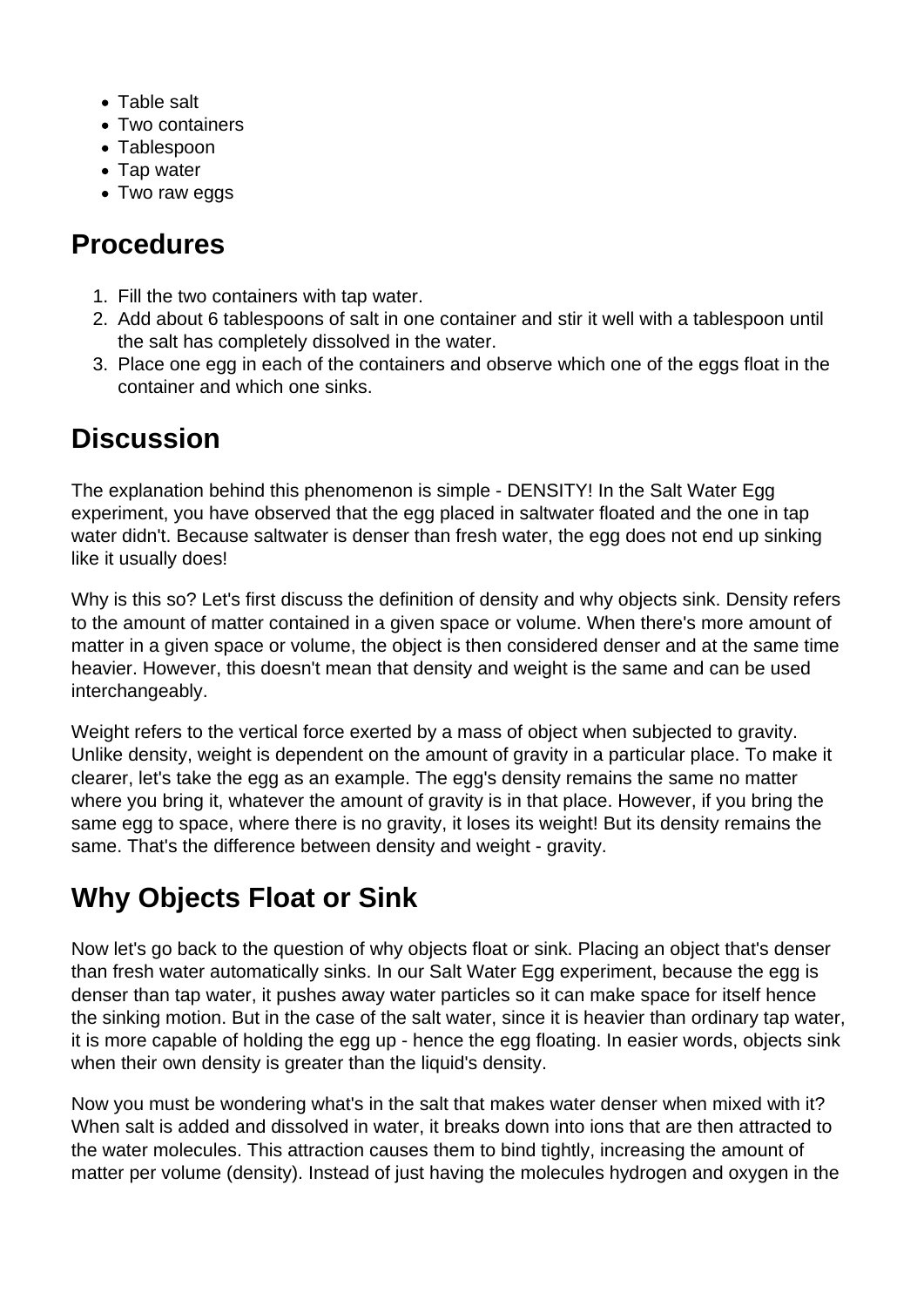- Table salt
- Two containers
- Tablespoon
- Tap water
- Two raw eggs

### **Procedures**

- 1. Fill the two containers with tap water.
- 2. Add about 6 tablespoons of salt in one container and stir it well with a tablespoon until the salt has completely dissolved in the water.
- 3. Place one egg in each of the containers and observe which one of the eggs float in the container and which one sinks.

## **Discussion**

The explanation behind this phenomenon is simple - DENSITY! In the Salt Water Egg experiment, you have observed that the egg placed in saltwater floated and the one in tap water didn't. Because saltwater is denser than fresh water, the egg does not end up sinking like it usually does!

Why is this so? Let's first discuss the definition of density and why objects sink. Density refers to the amount of matter contained in a given space or volume. When there's more amount of matter in a given space or volume, the object is then considered denser and at the same time heavier. However, this doesn't mean that density and weight is the same and can be used interchangeably.

Weight refers to the vertical force exerted by a mass of object when subjected to gravity. Unlike density, weight is dependent on the amount of gravity in a particular place. To make it clearer, let's take the egg as an example. The egg's density remains the same no matter where you bring it, whatever the amount of gravity is in that place. However, if you bring the same egg to space, where there is no gravity, it loses its weight! But its density remains the same. That's the difference between density and weight - gravity.

# **Why Objects Float or Sink**

Now let's go back to the question of why objects float or sink. Placing an object that's denser than fresh water automatically sinks. In our Salt Water Egg experiment, because the egg is denser than tap water, it pushes away water particles so it can make space for itself hence the sinking motion. But in the case of the salt water, since it is heavier than ordinary tap water, it is more capable of holding the egg up - hence the egg floating. In easier words, objects sink when their own density is greater than the liquid's density.

Now you must be wondering what's in the salt that makes water denser when mixed with it? When salt is added and dissolved in water, it breaks down into ions that are then attracted to the water molecules. This attraction causes them to bind tightly, increasing the amount of matter per volume (density). Instead of just having the molecules hydrogen and oxygen in the